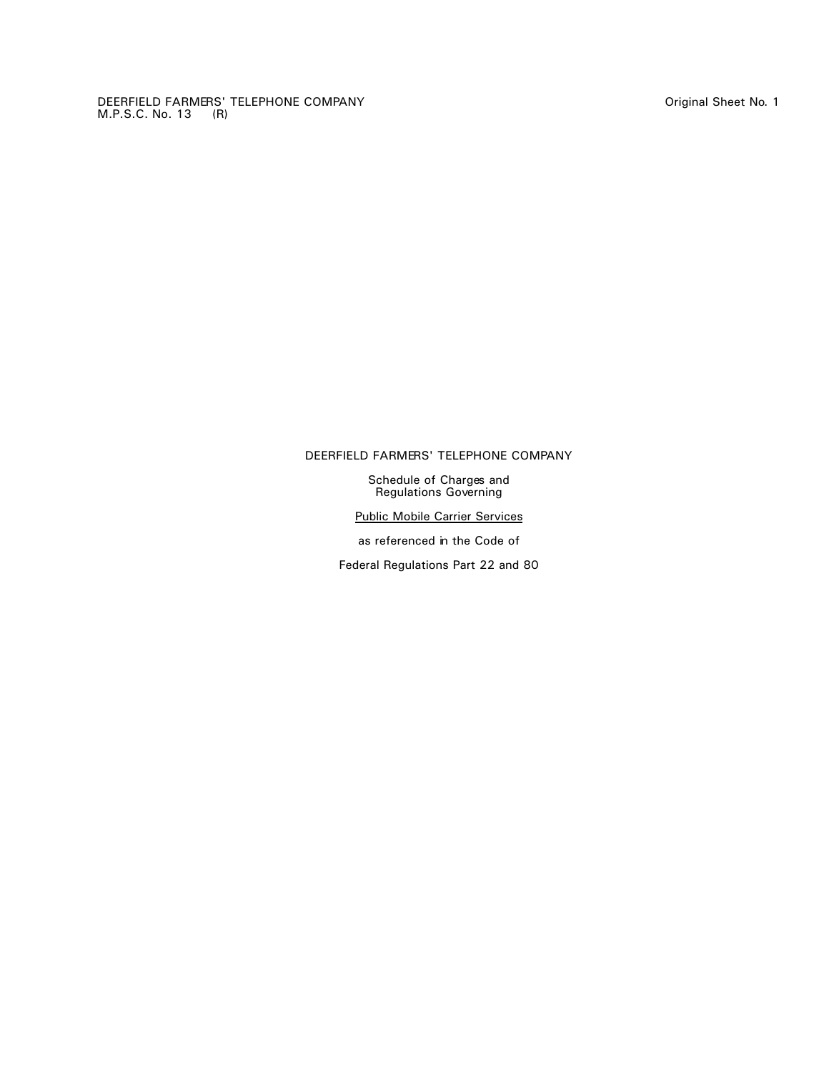DEERFIELD FARMERS' TELEPHONE COMPANY Original Sheet No. 1 M.P.S.C. No. 13 (R)

# DEERFIELD FARMERS' TELEPHONE COMPANY

Schedule of Charges and Regulations Governing

Public Mobile Carrier Services

as referenced in the Code of

Federal Regulations Part 22 and 80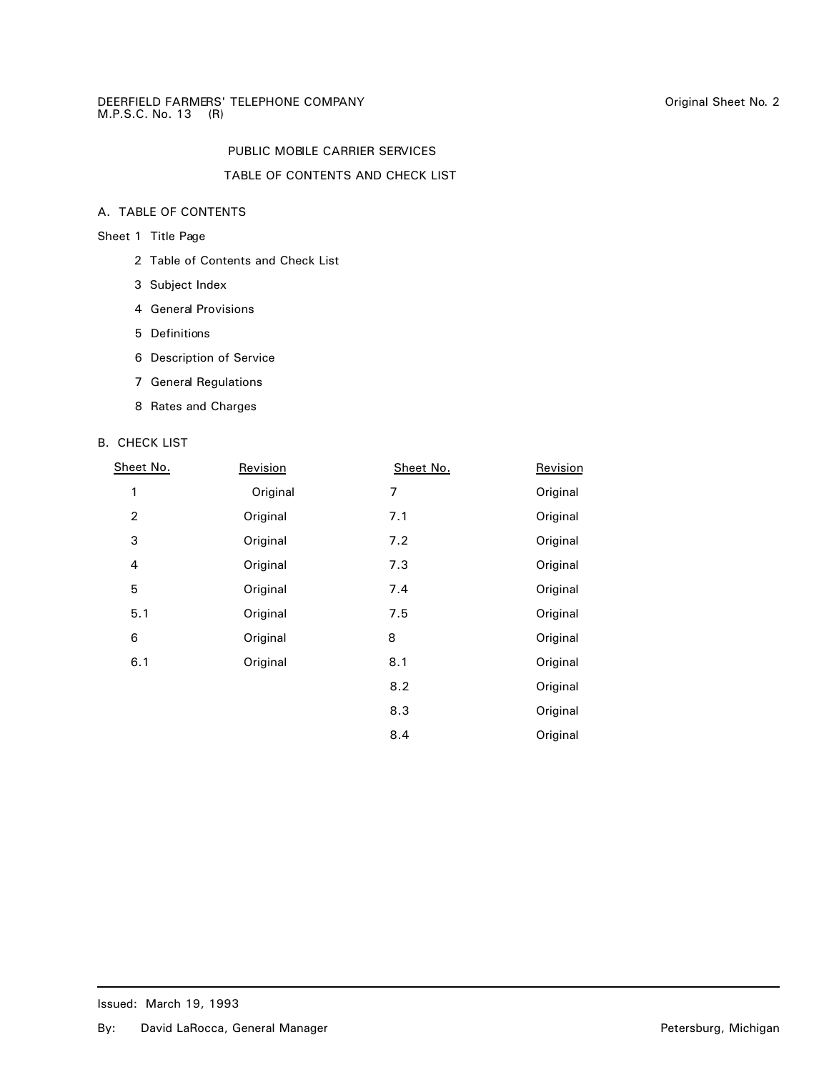# TABLE OF CONTENTS AND CHECK LIST

# A. TABLE OF CONTENTS

# Sheet 1 Title Page

- 2 Table of Contents and Check List
- 3 Subject Index
- 4 General Provisions
- 5 Definitions
- 6 Description of Service
- 7 General Regulations
- 8 Rates and Charges

# B. CHECK LIST

| Sheet No.      | Revision | Sheet No. | Revision |
|----------------|----------|-----------|----------|
| 1              | Original | 7         | Original |
| $\overline{2}$ | Original | 7.1       | Original |
| 3              | Original | 7.2       | Original |
| $\overline{4}$ | Original | 7.3       | Original |
| 5              | Original | 7.4       | Original |
| 5.1            | Original | 7.5       | Original |
| 6              | Original | 8         | Original |
| 6.1            | Original | 8.1       | Original |
|                |          | 8.2       | Original |
|                |          | 8.3       | Original |
|                |          | 8.4       | Original |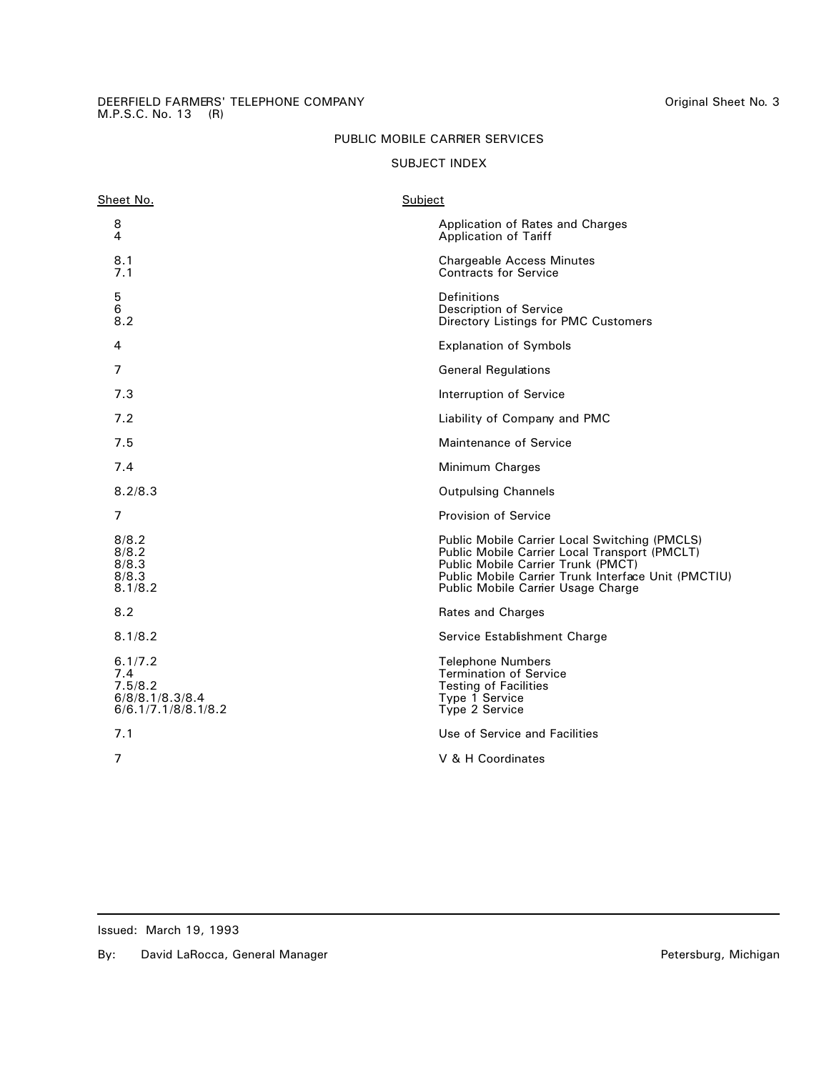#### DEERFIELD FARMERS' TELEPHONE COMPANY Original Sheet No. 3 M.P.S.C. No. 13 (R)

# PUBLIC MOBILE CARRIER SERVICES

# SUBJECT INDEX

| Sheet No.                                                           | Subject |                                                                                                                                                                                                                                   |
|---------------------------------------------------------------------|---------|-----------------------------------------------------------------------------------------------------------------------------------------------------------------------------------------------------------------------------------|
| 8<br>4                                                              |         | Application of Rates and Charges<br>Application of Tariff                                                                                                                                                                         |
| 8.1<br>7.1                                                          |         | <b>Chargeable Access Minutes</b><br><b>Contracts for Service</b>                                                                                                                                                                  |
| 5<br>6<br>8.2                                                       |         | Definitions<br><b>Description of Service</b><br>Directory Listings for PMC Customers                                                                                                                                              |
| 4                                                                   |         | <b>Explanation of Symbols</b>                                                                                                                                                                                                     |
| 7                                                                   |         | <b>General Regulations</b>                                                                                                                                                                                                        |
| 7.3                                                                 |         | Interruption of Service                                                                                                                                                                                                           |
| 7.2                                                                 |         | Liability of Company and PMC                                                                                                                                                                                                      |
| 7.5                                                                 |         | Maintenance of Service                                                                                                                                                                                                            |
| 7.4                                                                 |         | Minimum Charges                                                                                                                                                                                                                   |
| 8.2/8.3                                                             |         | <b>Outpulsing Channels</b>                                                                                                                                                                                                        |
| 7                                                                   |         | <b>Provision of Service</b>                                                                                                                                                                                                       |
| 8/8.2<br>8/8.2<br>8/8.3<br>8/8.3<br>8.1/8.2                         |         | Public Mobile Carrier Local Switching (PMCLS)<br>Public Mobile Carrier Local Transport (PMCLT)<br>Public Mobile Carrier Trunk (PMCT)<br>Public Mobile Carrier Trunk Interface Unit (PMCTIU)<br>Public Mobile Carrier Usage Charge |
| 8.2                                                                 |         | Rates and Charges                                                                                                                                                                                                                 |
| 8.1/8.2                                                             |         | Service Establishment Charge                                                                                                                                                                                                      |
| 6.1/7.2<br>7.4<br>7.5/8.2<br>6/8/8.1/8.3/8.4<br>6/6.1/7.1/8/8.1/8.2 |         | <b>Telephone Numbers</b><br><b>Termination of Service</b><br><b>Testing of Facilities</b><br>Type 1 Service<br>Type 2 Service                                                                                                     |
| 7.1                                                                 |         | Use of Service and Facilities                                                                                                                                                                                                     |
| $\overline{7}$                                                      |         | V & H Coordinates                                                                                                                                                                                                                 |
|                                                                     |         |                                                                                                                                                                                                                                   |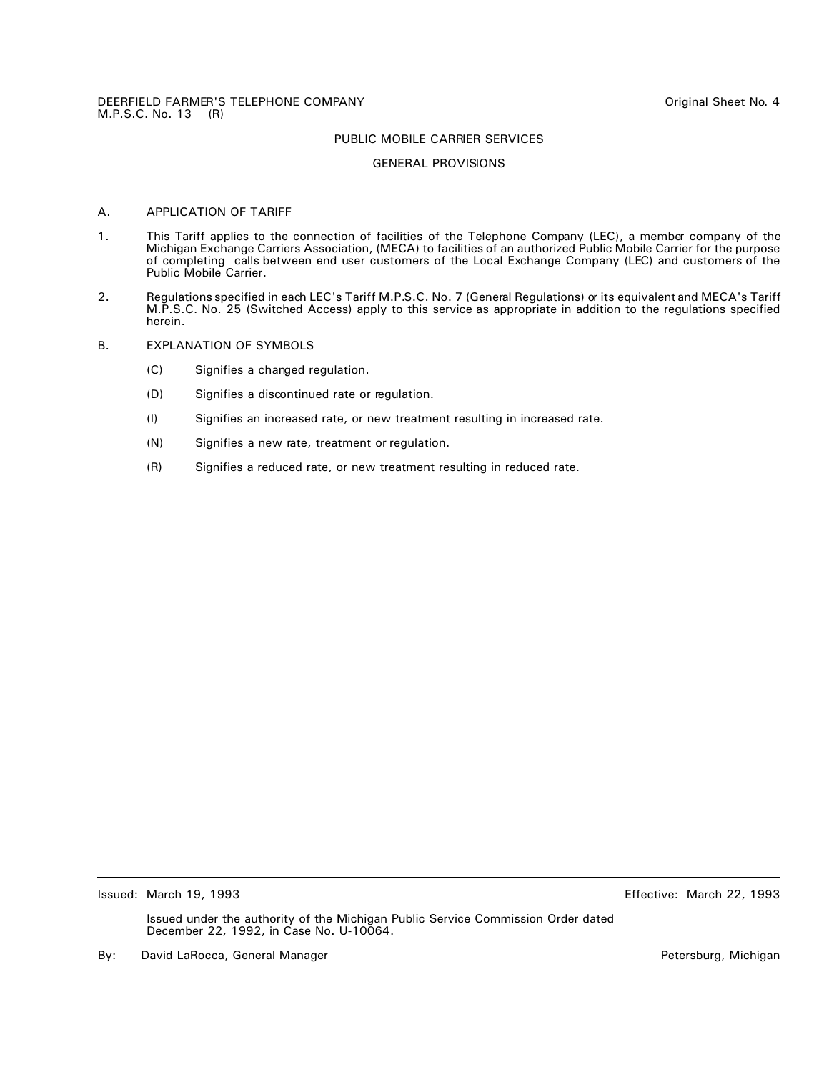#### GENERAL PROVISIONS

# A. APPLICATION OF TARIFF

- 1. This Tariff applies to the connection of facilities of the Telephone Company (LEC), a member company of the Michigan Exchange Carriers Association, (MECA) to facilities of an authorized Public Mobile Carrier for the purpose of completing calls between end user customers of the Local Exchange Company (LEC) and customers of the Public Mobile Carrier.
- 2. Regulations specified in each LEC's Tariff M.P.S.C. No. 7 (General Regulations) or its equivalent and MECA's Tariff M.P.S.C. No. 25 (Switched Access) apply to this service as appropriate in addition to the regulations specified herein.
- B. EXPLANATION OF SYMBOLS
	- (C) Signifies a changed regulation.
	- (D) Signifies a discontinued rate or regulation.
	- (I) Signifies an increased rate, or new treatment resulting in increased rate.
	- (N) Signifies a new rate, treatment or regulation.
	- (R) Signifies a reduced rate, or new treatment resulting in reduced rate.

Issued: March 19, 1993 Effective: March 22, 1993

By: David LaRocca, General Manager **Petersburg, Petersburg, Michigan** Petersburg, Michigan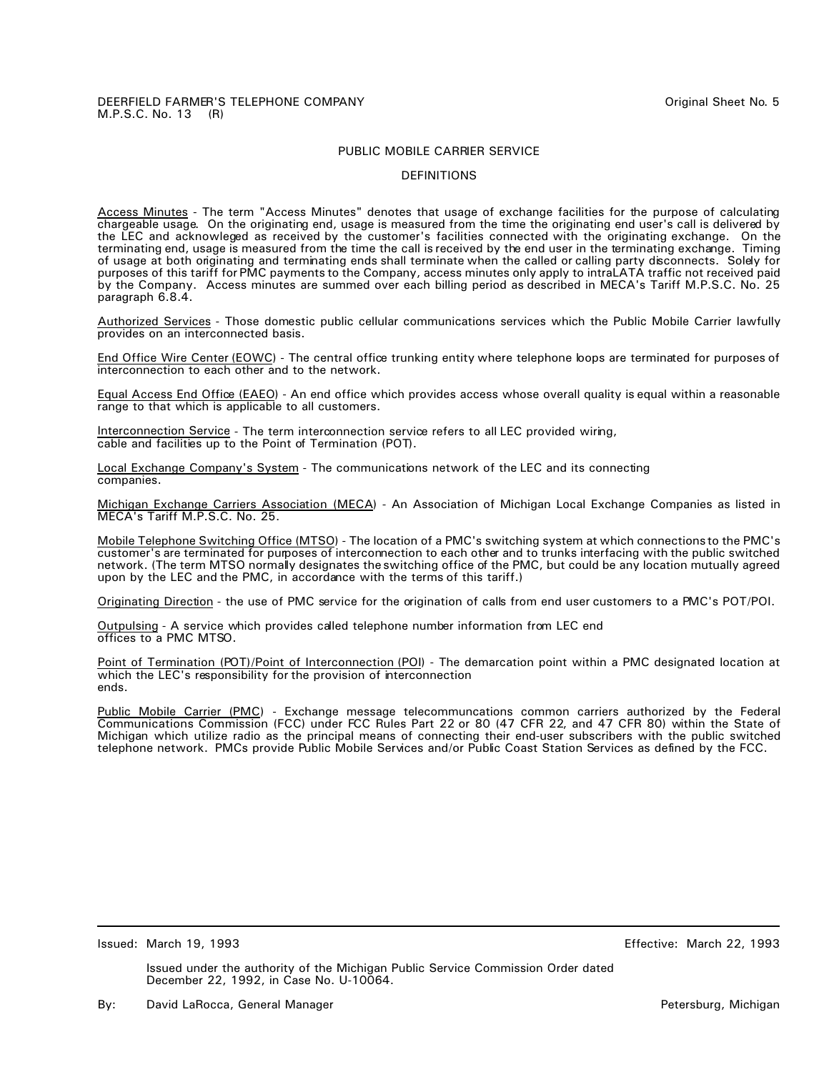#### DEFINITIONS

Access Minutes - The term "Access Minutes" denotes that usage of exchange facilities for the purpose of calculating chargeable usage. On the originating end, usage is measured from the time the originating end user's call is delivered by the LEC and acknowleged as received by the customer's facilities connected with the originating exchange. On the terminating end, usage is measured from the time the call is received by the end user in the terminating exchange. Timing of usage at both originating and terminating ends shall terminate when the called or calling party disconnects. Solely for purposes of this tariff for PMC payments to the Company, access minutes only apply to intraLATA traffic not received paid by the Company. Access minutes are summed over each billing period as described in MECA's Tariff M.P.S.C. No. 25 paragraph 6.8.4.

Authorized Services - Those domestic public cellular communications services which the Public Mobile Carrier lawfully provides on an interconnected basis.

End Office Wire Center (EOWC) - The central office trunking entity where telephone loops are terminated for purposes of interconnection to each other and to the network.

Equal Access End Office (EAEO) - An end office which provides access whose overall quality is equal within a reasonable range to that which is applicable to all customers.

Interconnection Service - The term interconnection service refers to all LEC provided wiring, cable and facilities up to the Point of Termination (POT).

Local Exchange Company's System - The communications network of the LEC and its connecting companies.

Michigan Exchange Carriers Association (MECA) - An Association of Michigan Local Exchange Companies as listed in MECA's Tariff M.P.S.C. No. 25.

Mobile Telephone Switching Office (MTSO) - The location of a PMC's switching system at which connections to the PMC's customer's are terminated for purposes of interconnection to each other and to trunks interfacing with the public switched network. (The term MTSO normally designates the switching office of the PMC, but could be any location mutually agreed upon by the LEC and the PMC, in accordance with the terms of this tariff.)

Originating Direction - the use of PMC service for the origination of calls from end user customers to a PMC's POT/POI.

Outpulsing - A service which provides called telephone number information from LEC end offices to a PMC MTSO.

Point of Termination (POT)/Point of Interconnection (POI) - The demarcation point within a PMC designated location at which the LEC's responsibility for the provision of interconnection ends.

Public Mobile Carrier (PMC) - Exchange message telecommuncations common carriers authorized by the Federal Communications Commission (FCC) under FCC Rules Part 22 or 80 (47 CFR 22, and 47 CFR 80) within the State of Michigan which utilize radio as the principal means of connecting their end-user subscribers with the public switched telephone network. PMCs provide Public Mobile Services and/or Public Coast Station Services as defined by the FCC.

Issued: March 19, 1993 Effective: March 22, 1993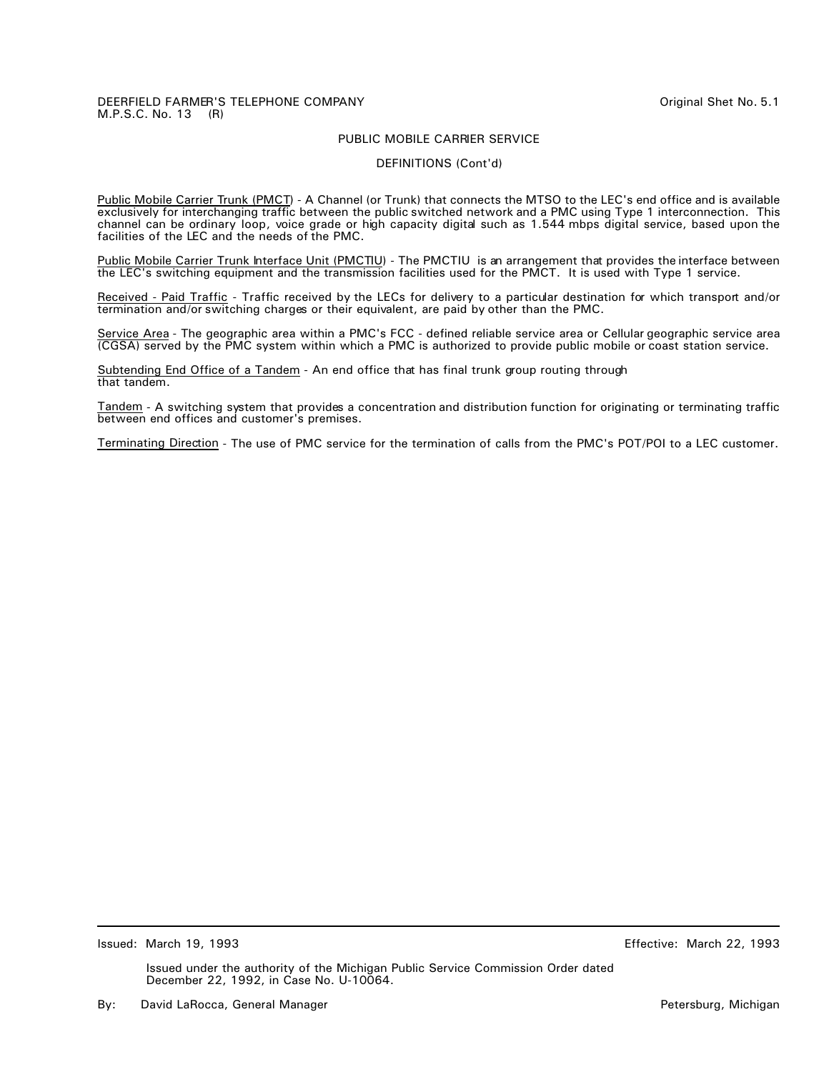#### DEERFIELD FARMER'S TELEPHONE COMPANY **COMPANY COMPANY Original Shet No. 5.1** M.P.S.C. No. 13 (R)

## PUBLIC MOBILE CARRIER SERVICE

#### DEFINITIONS (Cont'd)

Public Mobile Carrier Trunk (PMCT) - A Channel (or Trunk) that connects the MTSO to the LEC's end office and is available exclusively for interchanging traffic between the public switched network and a PMC using Type 1 interconnection. This channel can be ordinary loop, voice grade or high capacity digital such as 1.544 mbps digital service, based upon the facilities of the LEC and the needs of the PMC.

Public Mobile Carrier Trunk Interface Unit (PMCTIU) - The PMCTIU is an arrangement that provides the interface between the LEC's switching equipment and the transmission facilities used for the PMCT. It is used with Type 1 service.

Received - Paid Traffic - Traffic received by the LECs for delivery to a particular destination for which transport and/or termination and/or switching charges or their equivalent, are paid by other than the PMC.

Service Area - The geographic area within a PMC's FCC - defined reliable service area or Cellular geographic service area (CGSA) served by the PMC system within which a PMC is authorized to provide public mobile or coast station service.

Subtending End Office of a Tandem - An end office that has final trunk group routing through that tandem.

Tandem - A switching system that provides a concentration and distribution function for originating or terminating traffic between end offices and customer's premises.

Terminating Direction - The use of PMC service for the termination of calls from the PMC's POT/POI to a LEC customer.

Issued: March 19, 1993 Effective: March 22, 1993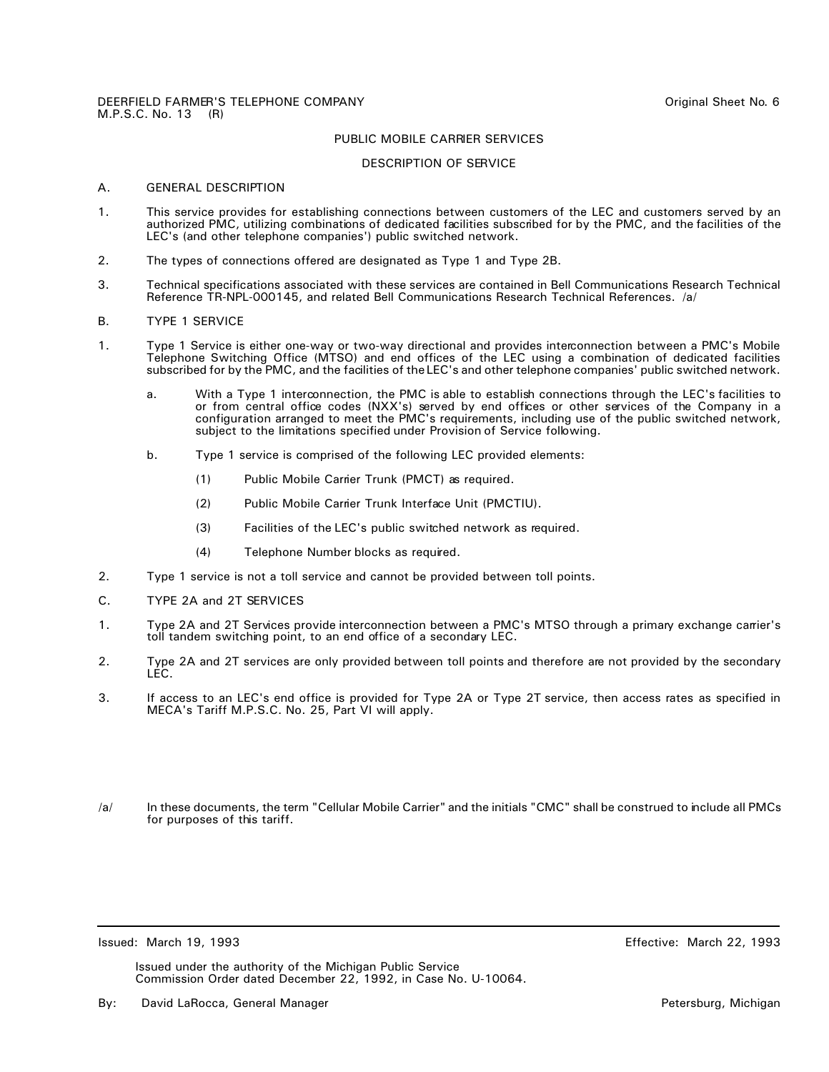#### DESCRIPTION OF SERVICE

# A. GENERAL DESCRIPTION

- 1. This service provides for establishing connections between customers of the LEC and customers served by an authorized PMC, utilizing combinations of dedicated facilities subscribed for by the PMC, and the facilities of the LEC's (and other telephone companies') public switched network.
- 2. The types of connections offered are designated as Type 1 and Type 2B.
- 3. Technical specifications associated with these services are contained in Bell Communications Research Technical Reference TR-NPL-000145, and related Bell Communications Research Technical References. /a/

#### B. TYPE 1 SERVICE

- 1. Type 1 Service is either one-way or two-way directional and provides interconnection between a PMC's Mobile Telephone Switching Office (MTSO) and end offices of the LEC using a combination of dedicated facilities subscribed for by the PMC, and the facilities of the LEC's and other telephone companies' public switched network.
	- a. With a Type 1 interconnection, the PMC is able to establish connections through the LEC's facilities to or from central office codes (NXX's) served by end offices or other services of the Company in a configuration arranged to meet the PMC's requirements, including use of the public switched network, subject to the limitations specified under Provision of Service following.
	- b. Type 1 service is comprised of the following LEC provided elements:
		- (1) Public Mobile Carrier Trunk (PMCT) as required.
		- (2) Public Mobile Carrier Trunk Interface Unit (PMCTIU).
		- (3) Facilities of the LEC's public switched network as required.
		- (4) Telephone Number blocks as required.
- 2. Type 1 service is not a toll service and cannot be provided between toll points.
- C. TYPE 2A and 2T SERVICES
- 1. Type 2A and 2T Services provide interconnection between a PMC's MTSO through a primary exchange carrier's toll tandem switching point, to an end office of a secondary LEC.
- 2. Type 2A and 2T services are only provided between toll points and therefore are not provided by the secondary LEC.
- 3. If access to an LEC's end office is provided for Type 2A or Type 2T service, then access rates as specified in MECA's Tariff M.P.S.C. No. 25, Part VI will apply.
- /a/ In these documents, the term "Cellular Mobile Carrier" and the initials "CMC" shall be construed to include all PMCs for purposes of this tariff.

Issued: March 19, 1993 Effective: March 22, 1993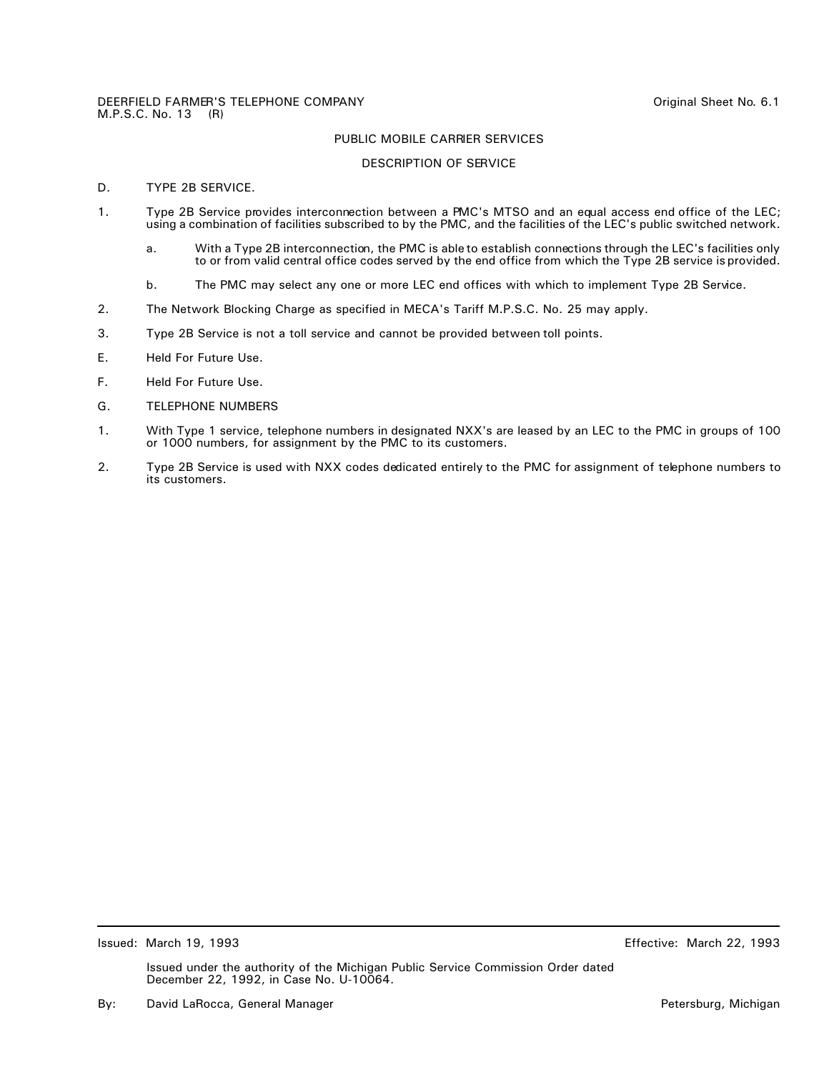#### DESCRIPTION OF SERVICE

# D. TYPE 2B SERVICE.

- 1. Type 2B Service provides interconnection between a PMC's MTSO and an equal access end office of the LEC; using a combination of facilities subscribed to by the PMC, and the facilities of the LEC's public switched network.
	- a. With a Type 2B interconnection, the PMC is able to establish connections through the LEC's facilities only to or from valid central office codes served by the end office from which the Type 2B service is provided.
	- b. The PMC may select any one or more LEC end offices with which to implement Type 2B Service.
- 2. The Network Blocking Charge as specified in MECA's Tariff M.P.S.C. No. 25 may apply.
- 3. Type 2B Service is not a toll service and cannot be provided between toll points.
- E. Held For Future Use.
- F. Held For Future Use.
- G. TELEPHONE NUMBERS
- 1. With Type 1 service, telephone numbers in designated NXX's are leased by an LEC to the PMC in groups of 100 or 1000 numbers, for assignment by the PMC to its customers.
- 2. Type 2B Service is used with NXX codes dedicated entirely to the PMC for assignment of telephone numbers to its customers.

Issued: March 19, 1993 Effective: March 22, 1993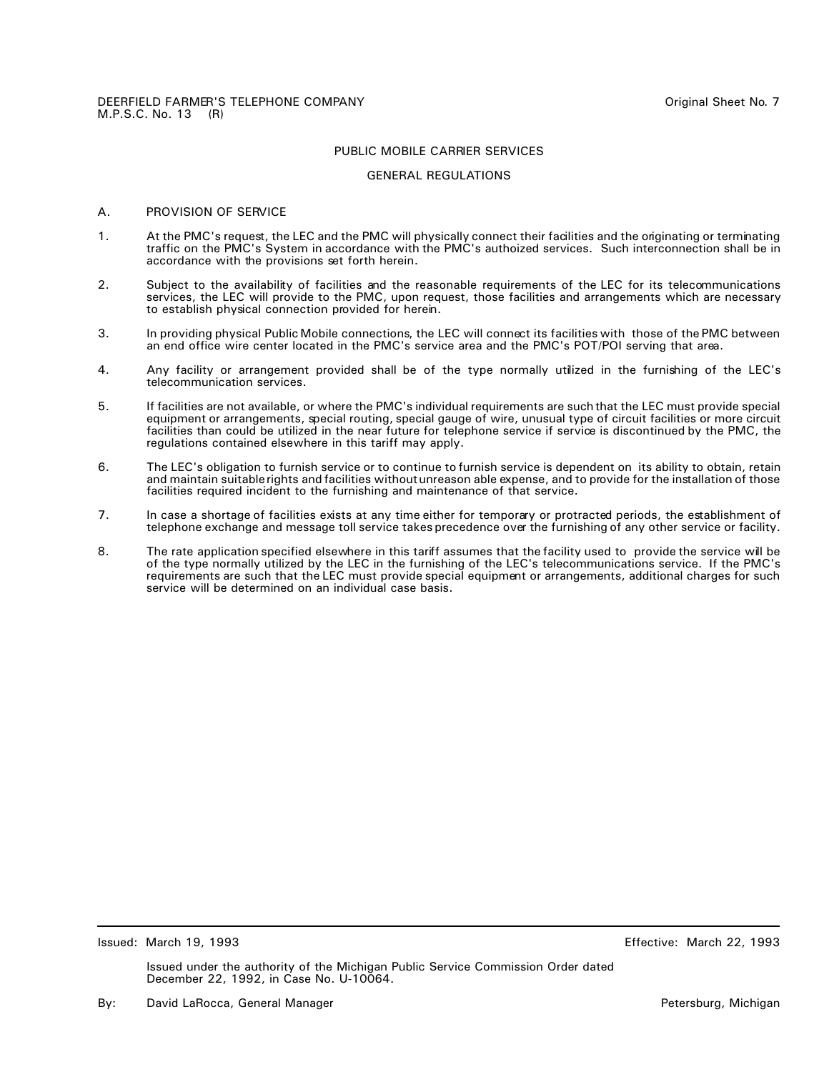#### GENERAL REGULATIONS

#### A. PROVISION OF SERVICE

- 1. At the PMC's request, the LEC and the PMC will physically connect their facilities and the originating or terminating traffic on the PMC's System in accordance with the PMC's authoized services. Such interconnection shall be in accordance with the provisions set forth herein.
- 2. Subject to the availability of facilities and the reasonable requirements of the LEC for its telecommunications services, the LEC will provide to the PMC, upon request, those facilities and arrangements which are necessary to establish physical connection provided for herein.
- 3. In providing physical Public Mobile connections, the LEC will connect its facilities with those of the PMC between an end office wire center located in the PMC's service area and the PMC's POT/POI serving that area.
- 4. Any facility or arrangement provided shall be of the type normally utilized in the furnishing of the LEC's telecommunication services.
- 5. If facilities are not available, or where the PMC's individual requirements are such that the LEC must provide special equipment or arrangements, special routing, special gauge of wire, unusual type of circuit facilities or more circuit facilities than could be utilized in the near future for telephone service if service is discontinued by the PMC, the regulations contained elsewhere in this tariff may apply.
- 6. The LEC's obligation to furnish service or to continue to furnish service is dependent on its ability to obtain, retain and maintain suitable rights and facilities without unreason able expense, and to provide for the installation of those facilities required incident to the furnishing and maintenance of that service.
- 7. In case a shortage of facilities exists at any time either for temporary or protracted periods, the establishment of telephone exchange and message toll service takes precedence over the furnishing of any other service or facility.
- 8. The rate application specified elsewhere in this tariff assumes that the facility used to provide the service will be of the type normally utilized by the LEC in the furnishing of the LEC's telecommunications service. If the PMC's requirements are such that the LEC must provide special equipment or arrangements, additional charges for such service will be determined on an individual case basis.

Issued: March 19, 1993 Effective: March 22, 1993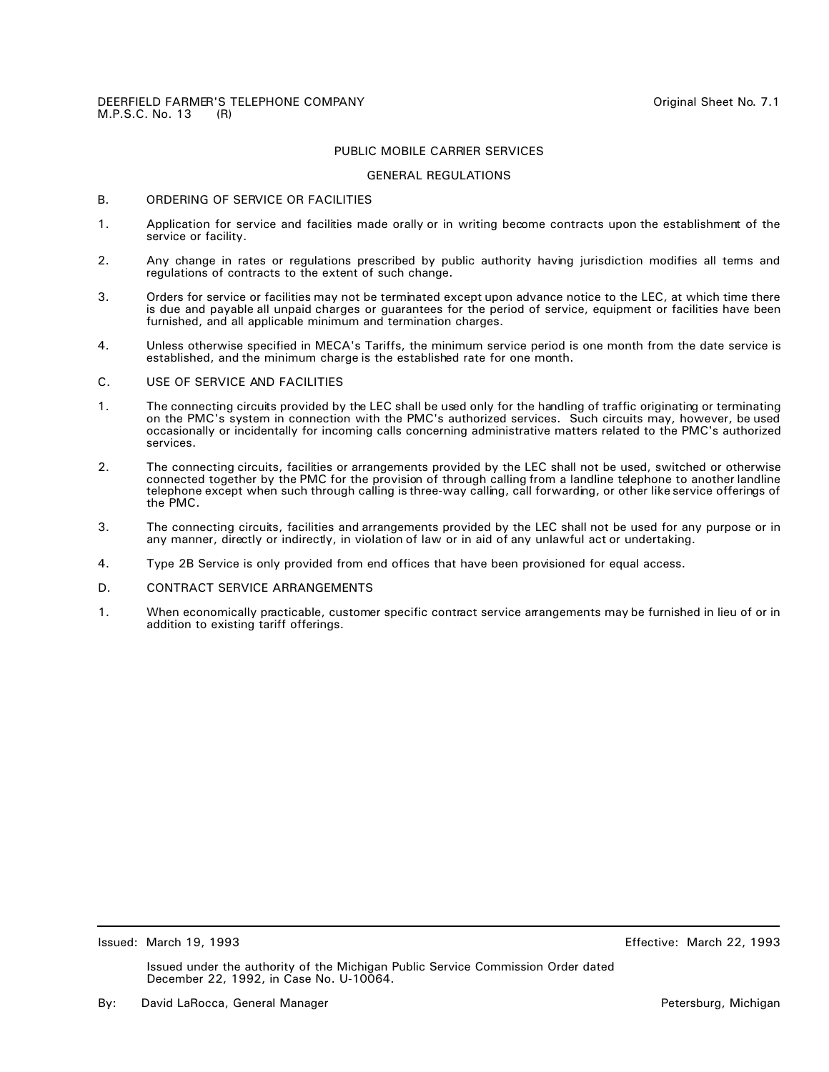#### GENERAL REGULATIONS

#### B. ORDERING OF SERVICE OR FACILITIES

- 1. Application for service and facilities made orally or in writing become contracts upon the establishment of the service or facility.
- 2. Any change in rates or regulations prescribed by public authority having jurisdiction modifies all terms and regulations of contracts to the extent of such change.
- 3. Orders for service or facilities may not be terminated except upon advance notice to the LEC, at which time there is due and payable all unpaid charges or guarantees for the period of service, equipment or facilities have been furnished, and all applicable minimum and termination charges.
- 4. Unless otherwise specified in MECA's Tariffs, the minimum service period is one month from the date service is established, and the minimum charge is the established rate for one month.
- C. USE OF SERVICE AND FACILITIES
- 1. The connecting circuits provided by the LEC shall be used only for the handling of traffic originating or terminating on the PMC's system in connection with the PMC's authorized services. Such circuits may, however, be used occasionally or incidentally for incoming calls concerning administrative matters related to the PMC's authorized services.
- 2. The connecting circuits, facilities or arrangements provided by the LEC shall not be used, switched or otherwise connected together by the PMC for the provision of through calling from a landline telephone to another landline telephone except when such through calling is three-way calling, call forwarding, or other like service offerings of the PMC.
- 3. The connecting circuits, facilities and arrangements provided by the LEC shall not be used for any purpose or in any manner, directly or indirectly, in violation of law or in aid of any unlawful act or undertaking.
- 4. Type 2B Service is only provided from end offices that have been provisioned for equal access.
- D. CONTRACT SERVICE ARRANGEMENTS
- 1. When economically practicable, customer specific contract service arrangements may be furnished in lieu of or in addition to existing tariff offerings.

Issued: March 19, 1993 Effective: March 22, 1993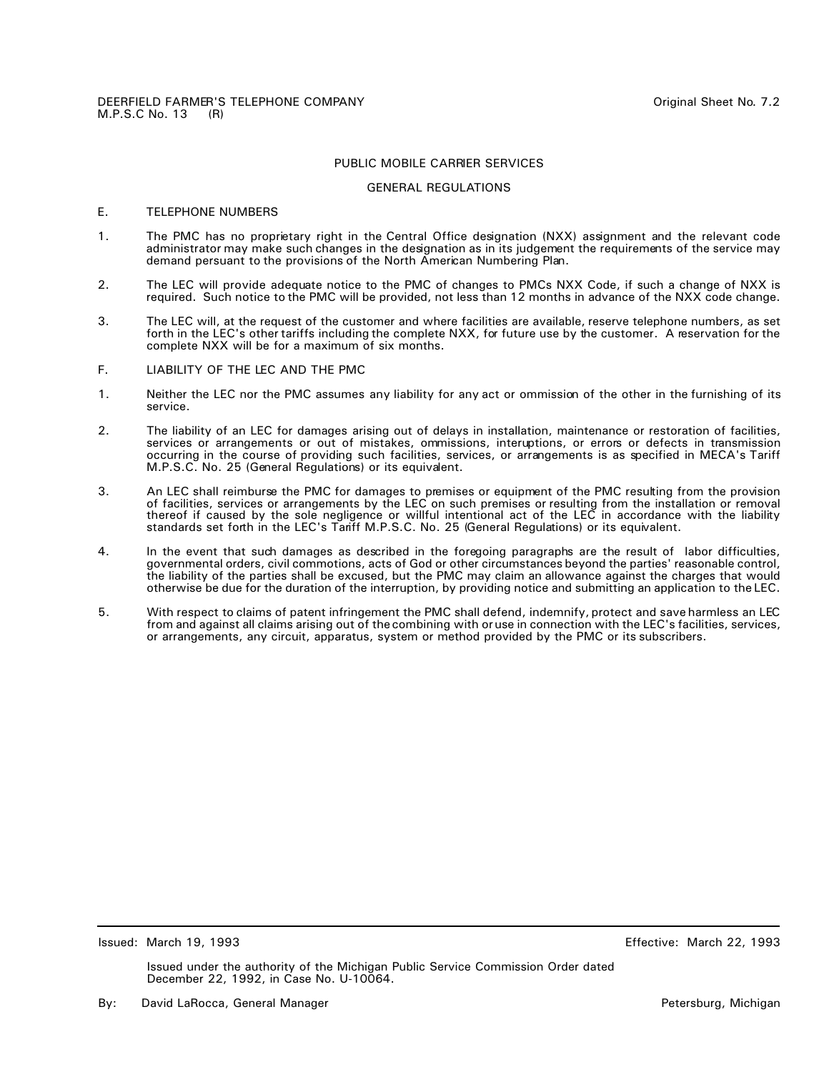#### GENERAL REGULATIONS

### E. TELEPHONE NUMBERS

- 1. The PMC has no proprietary right in the Central Office designation (NXX) assignment and the relevant code administrator may make such changes in the designation as in its judgement the requirements of the service may demand persuant to the provisions of the North American Numbering Plan.
- 2. The LEC will provide adequate notice to the PMC of changes to PMCs NXX Code, if such a change of NXX is required. Such notice to the PMC will be provided, not less than 12 months in advance of the NXX code change.
- 3. The LEC will, at the request of the customer and where facilities are available, reserve telephone numbers, as set forth in the LEC's other tariffs including the complete NXX, for future use by the customer. A reservation for the complete NXX will be for a maximum of six months.
- F. LIABILITY OF THE LEC AND THE PMC
- 1. Neither the LEC nor the PMC assumes any liability for any act or ommission of the other in the furnishing of its service.
- 2. The liability of an LEC for damages arising out of delays in installation, maintenance or restoration of facilities, services or arrangements or out of mistakes, ommissions, interuptions, or errors or defects in transmission occurring in the course of providing such facilities, services, or arrangements is as specified in MECA's Tariff M.P.S.C. No. 25 (General Regulations) or its equivalent.
- 3. An LEC shall reimburse the PMC for damages to premises or equipment of the PMC resulting from the provision of facilities, services or arrangements by the LEC on such premises or resulting from the installation or removal thereof if caused by the sole negligence or willful intentional act of the LEC in accordance with the liability standards set forth in the LEC's Tariff M.P.S.C. No. 25 (General Regulations) or its equivalent.
- 4. In the event that such damages as described in the foregoing paragraphs are the result of labor difficulties, governmental orders, civil commotions, acts of God or other circumstances beyond the parties' reasonable control, the liability of the parties shall be excused, but the PMC may claim an allowance against the charges that would otherwise be due for the duration of the interruption, by providing notice and submitting an application to the LEC.
- 5. With respect to claims of patent infringement the PMC shall defend, indemnify, protect and save harmless an LEC from and against all claims arising out of the combining with or use in connection with the LEC's facilities, services, or arrangements, any circuit, apparatus, system or method provided by the PMC or its subscribers.

Issued: March 19, 1993 Effective: March 22, 1993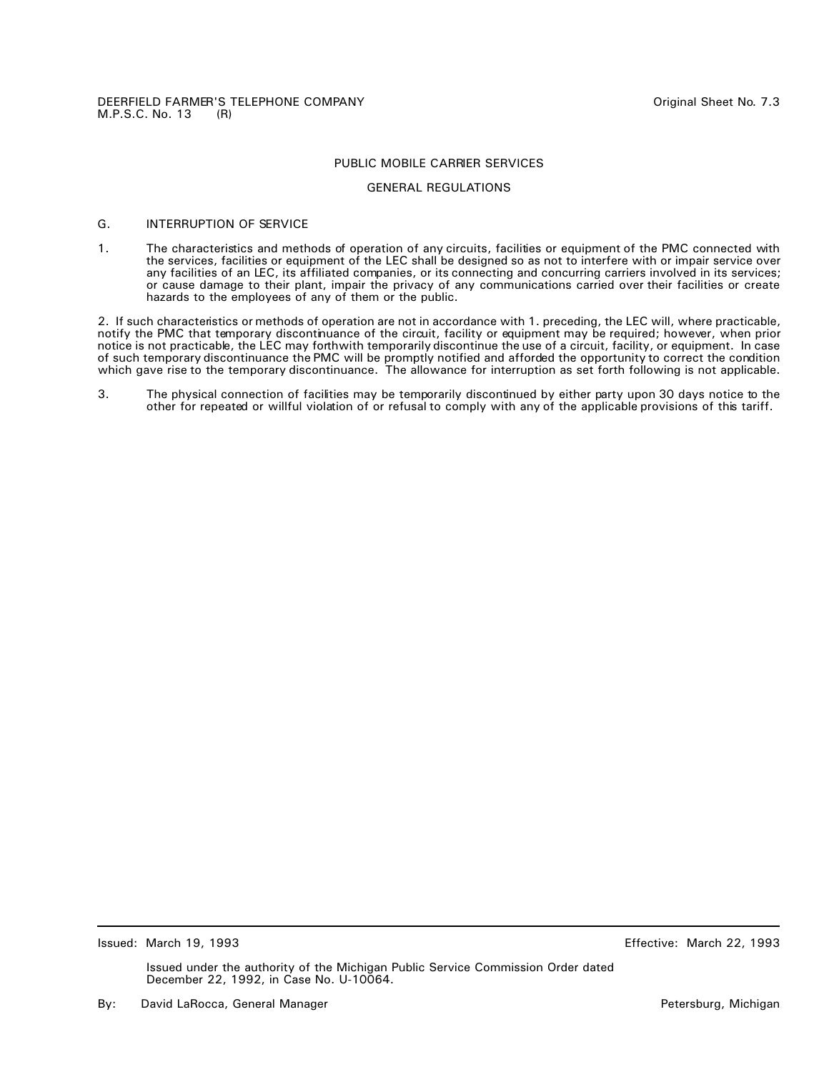# GENERAL REGULATIONS

#### G. INTERRUPTION OF SERVICE

1. The characteristics and methods of operation of any circuits, facilities or equipment of the PMC connected with the services, facilities or equipment of the LEC shall be designed so as not to interfere with or impair service over any facilities of an LEC, its affiliated companies, or its connecting and concurring carriers involved in its services; or cause damage to their plant, impair the privacy of any communications carried over their facilities or create hazards to the employees of any of them or the public.

2. If such characteristics or methods of operation are not in accordance with 1. preceding, the LEC will, where practicable, notify the PMC that temporary discontinuance of the circuit, facility or equipment may be required; however, when prior notice is not practicable, the LEC may forthwith temporarily discontinue the use of a circuit, facility, or equipment. In case of such temporary discontinuance the PMC will be promptly notified and afforded the opportunity to correct the condition which gave rise to the temporary discontinuance. The allowance for interruption as set forth following is not applicable.

3. The physical connection of facilities may be temporarily discontinued by either party upon 30 days notice to the other for repeated or willful violation of or refusal to comply with any of the applicable provisions of this tariff.

Issued: March 19, 1993 Effective: March 22, 1993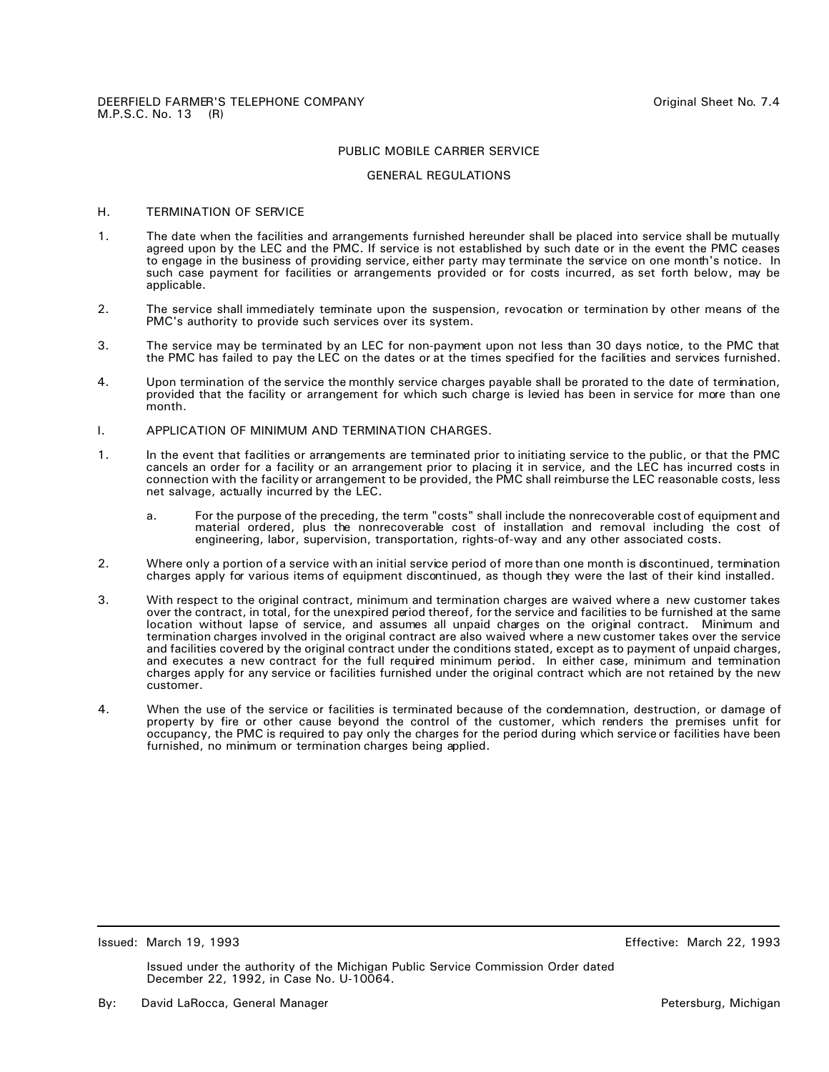#### GENERAL REGULATIONS

# H. TERMINATION OF SERVICE

- 1. The date when the facilities and arrangements furnished hereunder shall be placed into service shall be mutually agreed upon by the LEC and the PMC. If service is not established by such date or in the event the PMC ceases to engage in the business of providing service, either party may terminate the service on one month's notice. In such case payment for facilities or arrangements provided or for costs incurred, as set forth below, may be applicable.
- 2. The service shall immediately terminate upon the suspension, revocation or termination by other means of the PMC's authority to provide such services over its system.
- 3. The service may be terminated by an LEC for non-payment upon not less than 30 days notice, to the PMC that the PMC has failed to pay the LEC on the dates or at the times specified for the facilities and services furnished.
- 4. Upon termination of the service the monthly service charges payable shall be prorated to the date of termination, provided that the facility or arrangement for which such charge is levied has been in service for more than one month.
- I. APPLICATION OF MINIMUM AND TERMINATION CHARGES.
- 1. In the event that facilities or arrangements are terminated prior to initiating service to the public, or that the PMC cancels an order for a facility or an arrangement prior to placing it in service, and the LEC has incurred costs in connection with the facility or arrangement to be provided, the PMC shall reimburse the LEC reasonable costs, less net salvage, actually incurred by the LEC.
	- a. For the purpose of the preceding, the term "costs" shall include the nonrecoverable cost of equipment and material ordered, plus the nonrecoverable cost of installation and removal including the cost of engineering, labor, supervision, transportation, rights-of-way and any other associated costs.
- 2. Where only a portion of a service with an initial service period of more than one month is discontinued, termination charges apply for various items of equipment discontinued, as though they were the last of their kind installed.
- 3. With respect to the original contract, minimum and termination charges are waived where a new customer takes over the contract, in total, for the unexpired period thereof, for the service and facilities to be furnished at the same location without lapse of service, and assumes all unpaid charges on the original contract. Minimum and termination charges involved in the original contract are also waived where a new customer takes over the service and facilities covered by the original contract under the conditions stated, except as to payment of unpaid charges, and executes a new contract for the full required minimum period. In either case, minimum and termination charges apply for any service or facilities furnished under the original contract which are not retained by the new customer.
- 4. When the use of the service or facilities is terminated because of the condemnation, destruction, or damage of property by fire or other cause beyond the control of the customer, which renders the premises unfit for occupancy, the PMC is required to pay only the charges for the period during which service or facilities have been furnished, no minimum or termination charges being applied.

Issued: March 19, 1993 Effective: March 22, 1993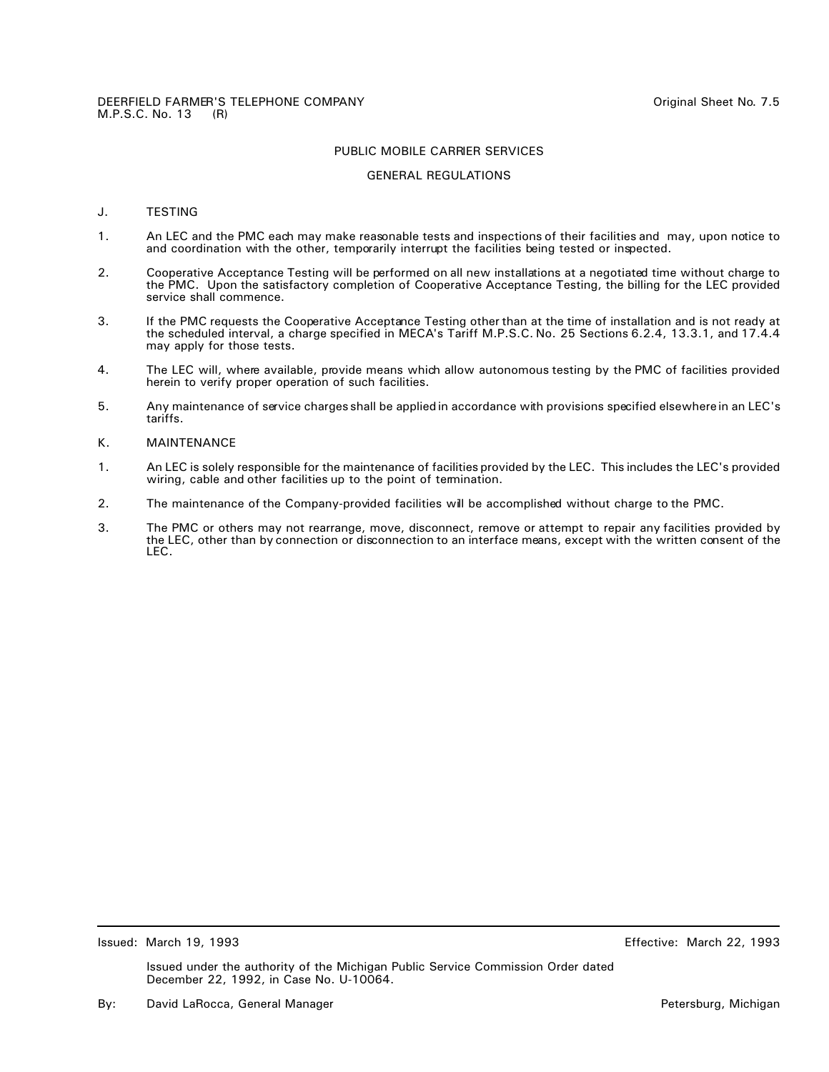## GENERAL REGULATIONS

# J. TESTING

- 1. An LEC and the PMC each may make reasonable tests and inspections of their facilities and may, upon notice to and coordination with the other, temporarily interrupt the facilities being tested or inspected.
- 2. Cooperative Acceptance Testing will be performed on all new installations at a negotiated time without charge to the PMC. Upon the satisfactory completion of Cooperative Acceptance Testing, the billing for the LEC provided service shall commence.
- 3. If the PMC requests the Cooperative Acceptance Testing other than at the time of installation and is not ready at the scheduled interval, a charge specified in MECA's Tariff M.P.S.C. No. 25 Sections 6.2.4, 13.3.1, and 17.4.4 may apply for those tests.
- 4. The LEC will, where available, provide means which allow autonomous testing by the PMC of facilities provided herein to verify proper operation of such facilities.
- 5. Any maintenance of service charges shall be applied in accordance with provisions specified elsewhere in an LEC's tariffs.

# K. MAINTENANCE

- 1. An LEC is solely responsible for the maintenance of facilities provided by the LEC. This includes the LEC's provided wiring, cable and other facilities up to the point of termination.
- 2. The maintenance of the Company-provided facilities will be accomplished without charge to the PMC.
- 3. The PMC or others may not rearrange, move, disconnect, remove or attempt to repair any facilities provided by the LEC, other than by connection or disconnection to an interface means, except with the written consent of the LEC.

Issued: March 19, 1993 Effective: March 22, 1993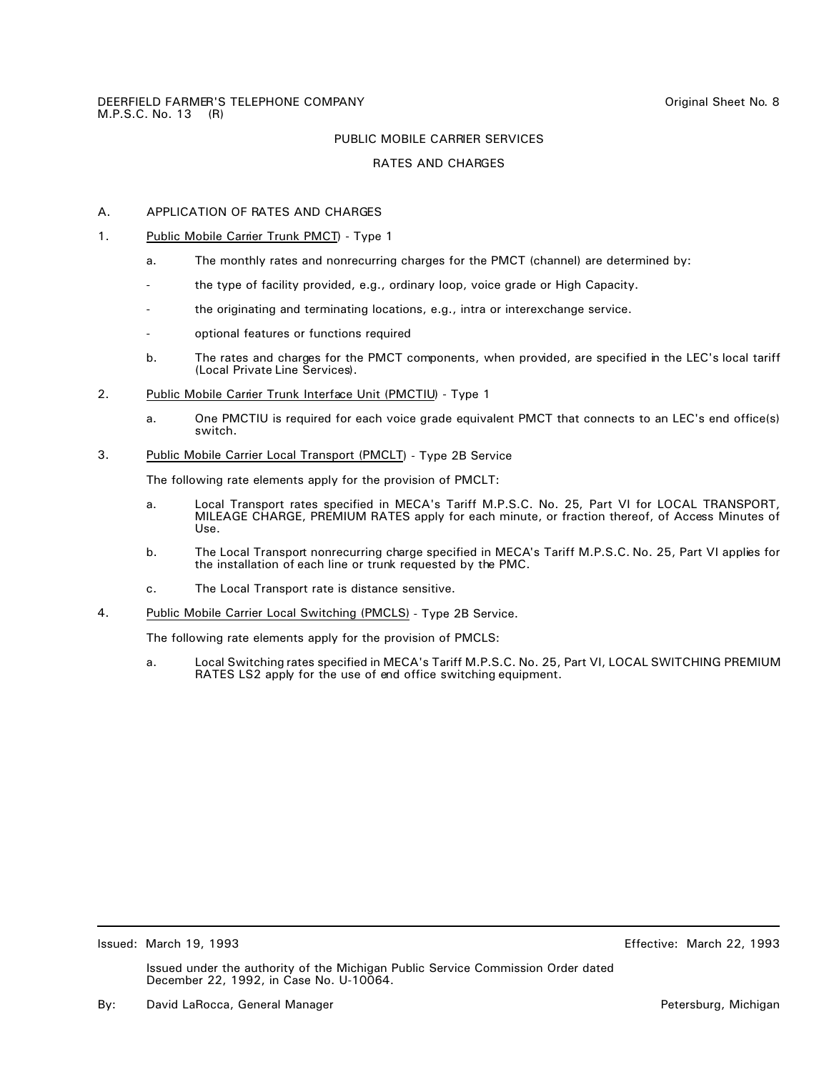# RATES AND CHARGES

# A. APPLICATION OF RATES AND CHARGES

- 1. Public Mobile Carrier Trunk PMCT) Type 1
	- a. The monthly rates and nonrecurring charges for the PMCT (channel) are determined by:
	- the type of facility provided, e.g., ordinary loop, voice grade or High Capacity.
	- the originating and terminating locations, e.g., intra or interexchange service.
	- optional features or functions required
	- b. The rates and charges for the PMCT components, when provided, are specified in the LEC's local tariff (Local Private Line Services).
- 2. Public Mobile Carrier Trunk Interface Unit (PMCTIU) Type 1
	- a. One PMCTIU is required for each voice grade equivalent PMCT that connects to an LEC's end office(s) switch.
- 3. Public Mobile Carrier Local Transport (PMCLT) Type 2B Service

The following rate elements apply for the provision of PMCLT:

- a. Local Transport rates specified in MECA's Tariff M.P.S.C. No. 25, Part VI for LOCAL TRANSPORT, MILEAGE CHARGE, PREMIUM RATES apply for each minute, or fraction thereof, of Access Minutes of Use.
- b. The Local Transport nonrecurring charge specified in MECA's Tariff M.P.S.C. No. 25, Part VI applies for the installation of each line or trunk requested by the PMC.
- c. The Local Transport rate is distance sensitive.
- 4. Public Mobile Carrier Local Switching (PMCLS) Type 2B Service.

The following rate elements apply for the provision of PMCLS:

a. Local Switching rates specified in MECA's Tariff M.P.S.C. No. 25, Part VI, LOCAL SWITCHING PREMIUM RATES LS2 apply for the use of end office switching equipment.

Issued: March 19, 1993 Effective: March 22, 1993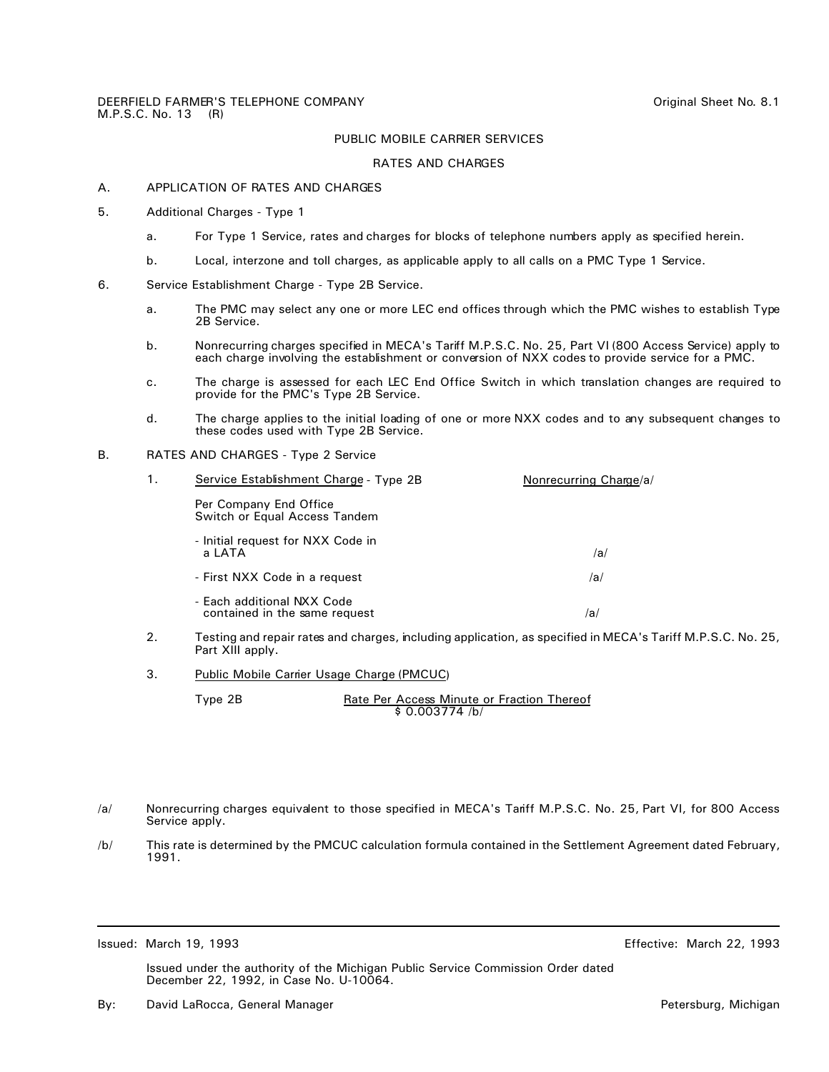#### RATES AND CHARGES

## A. APPLICATION OF RATES AND CHARGES

- 5. Additional Charges Type 1
	- a. For Type 1 Service, rates and charges for blocks of telephone numbers apply as specified herein.
	- b. Local, interzone and toll charges, as applicable apply to all calls on a PMC Type 1 Service.
- 6. Service Establishment Charge Type 2B Service.
	- a. The PMC may select any one or more LEC end offices through which the PMC wishes to establish Type 2B Service.
	- b. Nonrecurring charges specified in MECA's Tariff M.P.S.C. No. 25, Part VI (800 Access Service) apply to each charge involving the establishment or conversion of NXX codes to provide service for a PMC.
	- c. The charge is assessed for each LEC End Office Switch in which translation changes are required to provide for the PMC's Type 2B Service.
	- d. The charge applies to the initial loading of one or more NXX codes and to any subsequent changes to these codes used with Type 2B Service.

# B. RATES AND CHARGES - Type 2 Service

| 1. | Service Establishment Charge - Type 2B                      | Nonrecurring Charge/a/ |
|----|-------------------------------------------------------------|------------------------|
|    | Per Company End Office<br>Switch or Equal Access Tandem     |                        |
|    | - Initial request for NXX Code in<br>a LATA                 | /a/                    |
|    | - First NXX Code in a reguest                               | /a/                    |
|    | - Each additional NXX Code<br>contained in the same request | /a/                    |

- 2. Testing and repair rates and charges, including application, as specified in MECA's Tariff M.P.S.C. No. 25, Part XIII apply.
- 3. Public Mobile Carrier Usage Charge (PMCUC)

Type 2B **Rate Per Access Minute or Fraction Thereof** \$ 0.003774 /b/

- /a/ Nonrecurring charges equivalent to those specified in MECA's Tariff M.P.S.C. No. 25, Part VI, for 800 Access Service apply.
- /b/ This rate is determined by the PMCUC calculation formula contained in the Settlement Agreement dated February, 1991.

Issued: March 19, 1993 Effective: March 22, 1993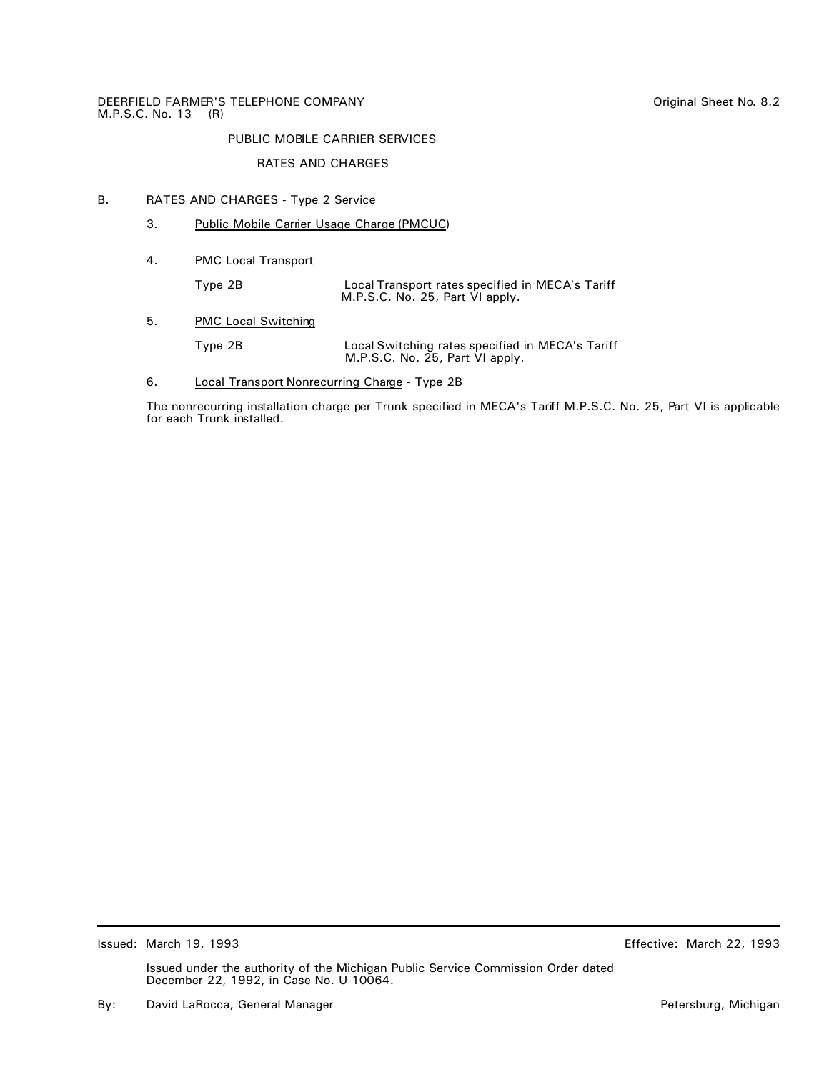# RATES AND CHARGES

# B. RATES AND CHARGES - Type 2 Service

- 3. Public Mobile Carrier Usage Charge (PMCUC)
- 4. PMC Local Transport

Type 2B Local Transport rates specified in MECA's Tariff M.P.S.C. No. 25, Part VI apply.

5. PMC Local Switching

Type 2B Local Switching rates specified in MECA's Tariff M.P.S.C. No. 25, Part VI apply.

6. Local Transport Nonrecurring Charge - Type 2B

The nonrecurring installation charge per Trunk specified in MECA's Tariff M.P.S.C. No. 25, Part VI is applicable for each Trunk installed.

Issued: March 19, 1993 Effective: March 22, 1993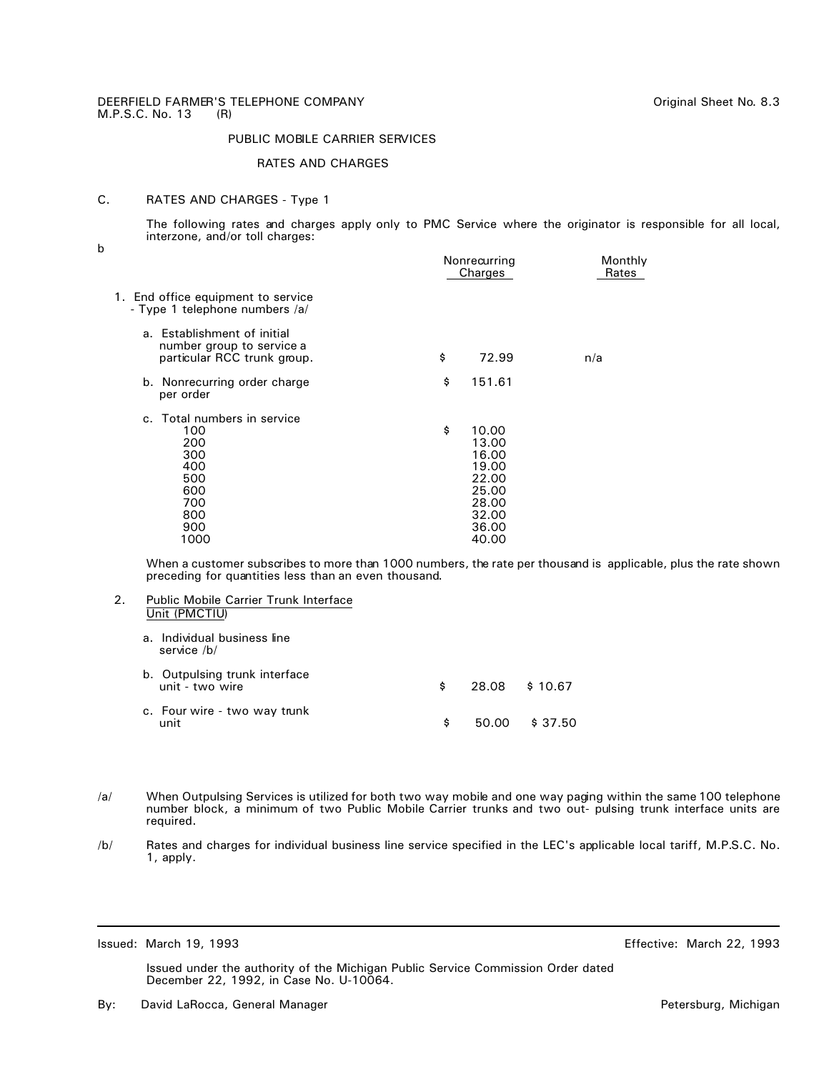#### RATES AND CHARGES

# C. RATES AND CHARGES - Type 1

The following rates and charges apply only to PMC Service where the originator is responsible for all local, interzone, and/or toll charges:

b

| Nonrecurring<br>Charges |                                                                               | Monthly<br>Rates |  |
|-------------------------|-------------------------------------------------------------------------------|------------------|--|
|                         |                                                                               |                  |  |
| \$                      | 72.99                                                                         | n/a              |  |
| \$                      | 151.61                                                                        |                  |  |
| \$                      | 10.00<br>13.00<br>16.00<br>19.00<br>22.00<br>25.00<br>28.00<br>32.00<br>36.00 |                  |  |
|                         |                                                                               | 40.00            |  |

When a customer subscribes to more than 1000 numbers, the rate per thousand is applicable, plus the rate shown preceding for quantities less than an even thousand.

- 2. Public Mobile Carrier Trunk Interface Unit (PMCTIU) a. Individual business line service /b/ b. Outpulsing trunk interface unit - two wire two wire two wire two wire two wire two states with the set of the set of two states with the s c. Four wire - two way trunk unit \$ 50.00 \$ 37.50
- /a/ When Outpulsing Services is utilized for both two way mobile and one way paging within the same 100 telephone number block, a minimum of two Public Mobile Carrier trunks and two out- pulsing trunk interface units are required.
- /b/ Rates and charges for individual business line service specified in the LEC's applicable local tariff, M.P.S.C. No. 1, apply.

Issued: March 19, 1993 Effective: March 22, 1993